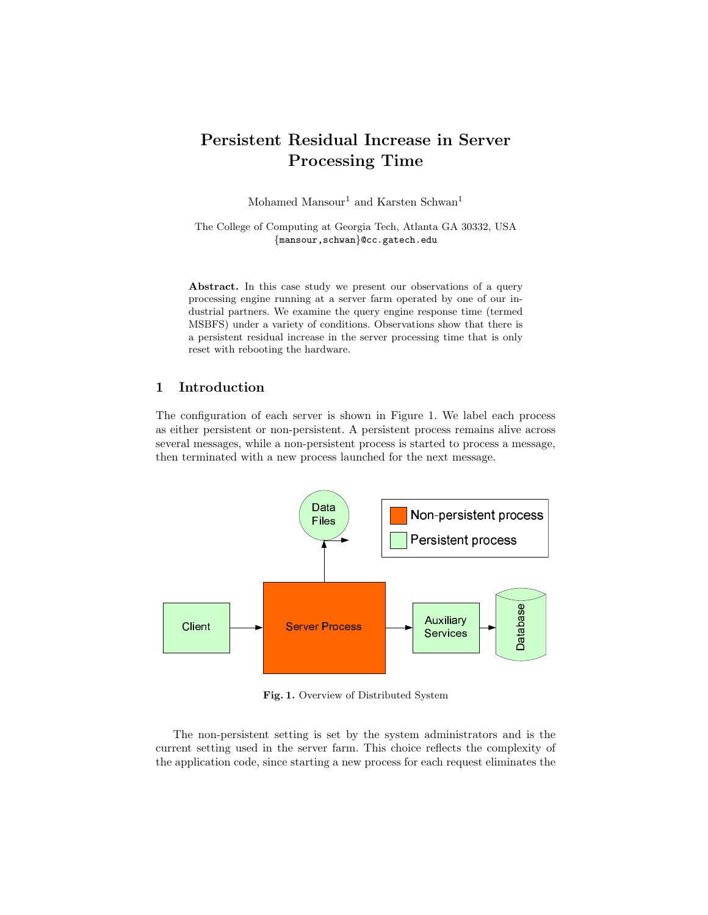# Persistent Residual Increase in Server Processing Time

Mohamed Mansour<sup>1</sup> and Karsten Schwan<sup>1</sup>

The College of Computing at Georgia Tech, Atlanta GA 30332, USA {mansour,schwan}@cc.gatech.edu

Abstract. In this case study we present our observations of a query processing engine running at a server farm operated by one of our industrial partners. We examine the query engine response time (termed MSBFS) under a variety of conditions. Observations show that there is a persistent residual increase in the server processing time that is only reset with rebooting the hardware.

## 1 Introduction

The configuration of each server is shown in Figure 1. We label each process as either persistent or non-persistent. A persistent process remains alive across several messages, while a non-persistent process is started to process a message, then terminated with a new process launched for the next message.



Fig. 1. Overview of Distributed System

The non-persistent setting is set by the system administrators and is the current setting used in the server farm. This choice reflects the complexity of the application code, since starting a new process for each request eliminates the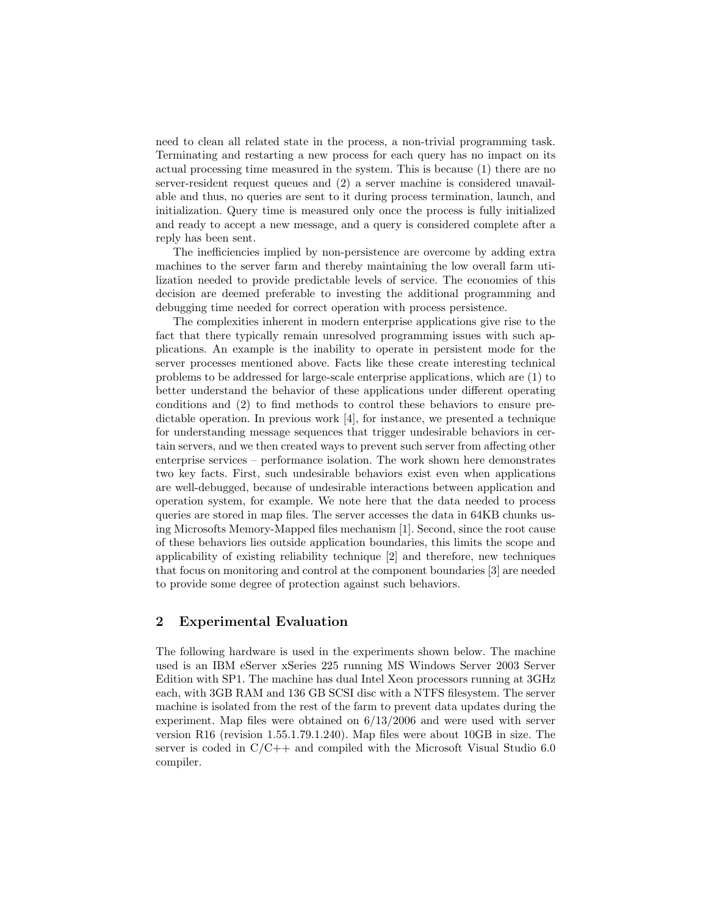need to clean all related state in the process, a non-trivial programming task. Terminating and restarting a new process for each query has no impact on its actual processing time measured in the system. This is because (1) there are no server-resident request queues and (2) a server machine is considered unavailable and thus, no queries are sent to it during process termination, launch, and initialization. Query time is measured only once the process is fully initialized and ready to accept a new message, and a query is considered complete after a reply has been sent.

The inefficiencies implied by non-persistence are overcome by adding extra machines to the server farm and thereby maintaining the low overall farm utilization needed to provide predictable levels of service. The economies of this decision are deemed preferable to investing the additional programming and debugging time needed for correct operation with process persistence.

The complexities inherent in modern enterprise applications give rise to the fact that there typically remain unresolved programming issues with such applications. An example is the inability to operate in persistent mode for the server processes mentioned above. Facts like these create interesting technical problems to be addressed for large-scale enterprise applications, which are (1) to better understand the behavior of these applications under different operating conditions and (2) to find methods to control these behaviors to ensure predictable operation. In previous work [4], for instance, we presented a technique for understanding message sequences that trigger undesirable behaviors in certain servers, and we then created ways to prevent such server from affecting other enterprise services – performance isolation. The work shown here demonstrates two key facts. First, such undesirable behaviors exist even when applications are well-debugged, because of undesirable interactions between application and operation system, for example. We note here that the data needed to process queries are stored in map files. The server accesses the data in 64KB chunks using Microsofts Memory-Mapped files mechanism [1]. Second, since the root cause of these behaviors lies outside application boundaries, this limits the scope and applicability of existing reliability technique [2] and therefore, new techniques that focus on monitoring and control at the component boundaries [3] are needed to provide some degree of protection against such behaviors.

## 2 Experimental Evaluation

The following hardware is used in the experiments shown below. The machine used is an IBM eServer xSeries 225 running MS Windows Server 2003 Server Edition with SP1. The machine has dual Intel Xeon processors running at 3GHz each, with 3GB RAM and 136 GB SCSI disc with a NTFS filesystem. The server machine is isolated from the rest of the farm to prevent data updates during the experiment. Map files were obtained on 6/13/2006 and were used with server version R16 (revision 1.55.1.79.1.240). Map files were about 10GB in size. The server is coded in  $C/C++$  and compiled with the Microsoft Visual Studio 6.0 compiler.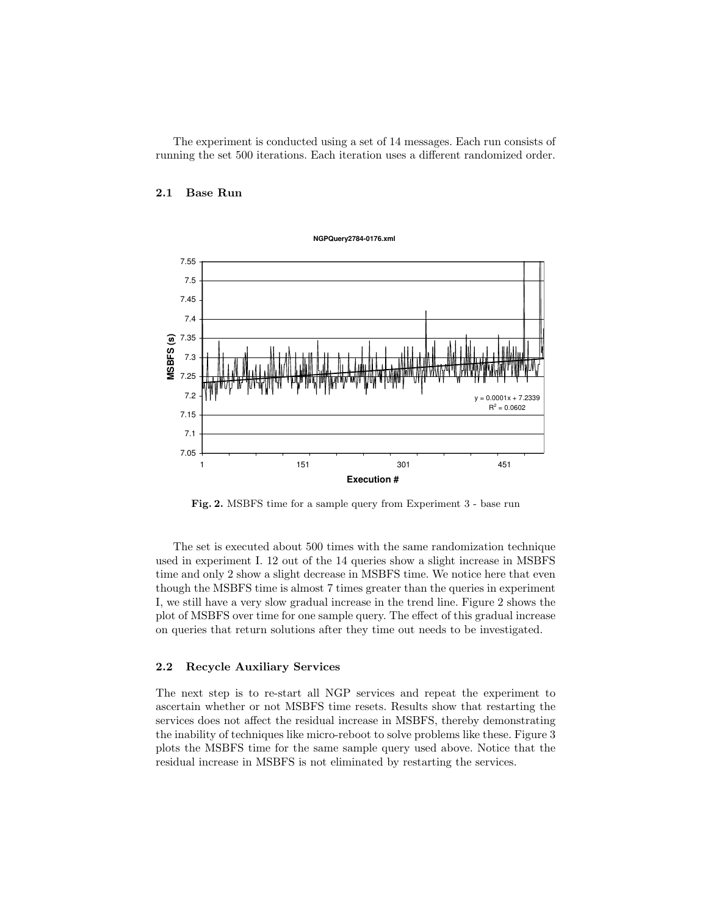The experiment is conducted using a set of 14 messages. Each run consists of running the set 500 iterations. Each iteration uses a different randomized order.

#### 2.1 Base Run



Fig. 2. MSBFS time for a sample query from Experiment 3 - base run

The set is executed about 500 times with the same randomization technique used in experiment I. 12 out of the 14 queries show a slight increase in MSBFS time and only 2 show a slight decrease in MSBFS time. We notice here that even though the MSBFS time is almost 7 times greater than the queries in experiment I, we still have a very slow gradual increase in the trend line. Figure 2 shows the plot of MSBFS over time for one sample query. The effect of this gradual increase on queries that return solutions after they time out needs to be investigated.

#### 2.2 Recycle Auxiliary Services

The next step is to re-start all NGP services and repeat the experiment to ascertain whether or not MSBFS time resets. Results show that restarting the services does not affect the residual increase in MSBFS, thereby demonstrating the inability of techniques like micro-reboot to solve problems like these. Figure 3 plots the MSBFS time for the same sample query used above. Notice that the residual increase in MSBFS is not eliminated by restarting the services.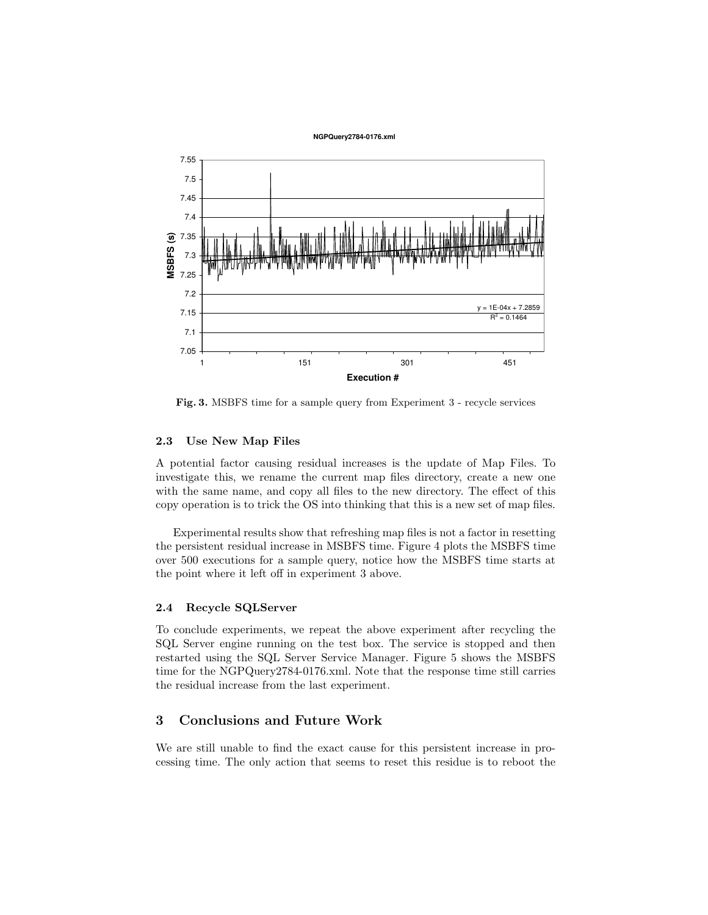

Fig. 3. MSBFS time for a sample query from Experiment 3 - recycle services

#### 2.3 Use New Map Files

A potential factor causing residual increases is the update of Map Files. To investigate this, we rename the current map files directory, create a new one with the same name, and copy all files to the new directory. The effect of this copy operation is to trick the OS into thinking that this is a new set of map files.

Experimental results show that refreshing map files is not a factor in resetting the persistent residual increase in MSBFS time. Figure 4 plots the MSBFS time over 500 executions for a sample query, notice how the MSBFS time starts at the point where it left off in experiment 3 above.

#### 2.4 Recycle SQLServer

To conclude experiments, we repeat the above experiment after recycling the SQL Server engine running on the test box. The service is stopped and then restarted using the SQL Server Service Manager. Figure 5 shows the MSBFS time for the NGPQuery2784-0176.xml. Note that the response time still carries the residual increase from the last experiment.

# 3 Conclusions and Future Work

We are still unable to find the exact cause for this persistent increase in processing time. The only action that seems to reset this residue is to reboot the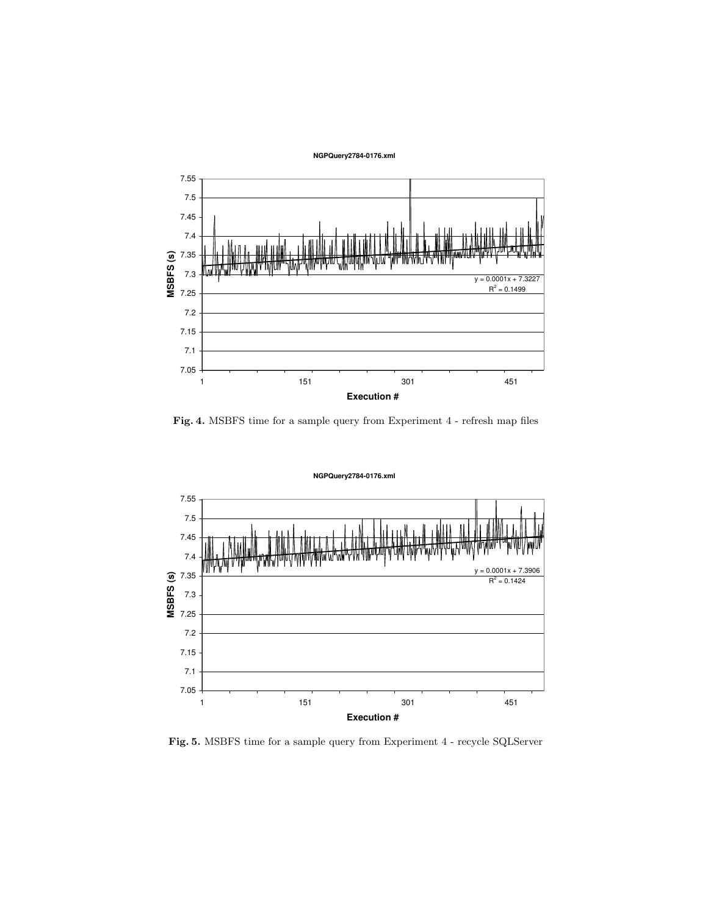**NGPQuery2784-0176.xml**



Fig. 4. MSBFS time for a sample query from Experiment 4 - refresh map files

**NGPQuery2784-0176.xml**

 $0.0001x + 7.3906$  $R^2 = 0.1424$ 7.05 7.1 7.15 7.2 7.25 7.3 7.35 7.4 7.45 7.5 7.55 1 151 301 451 **Execution # M S B F S (s)**

Fig. 5. MSBFS time for a sample query from Experiment 4 - recycle SQLServer